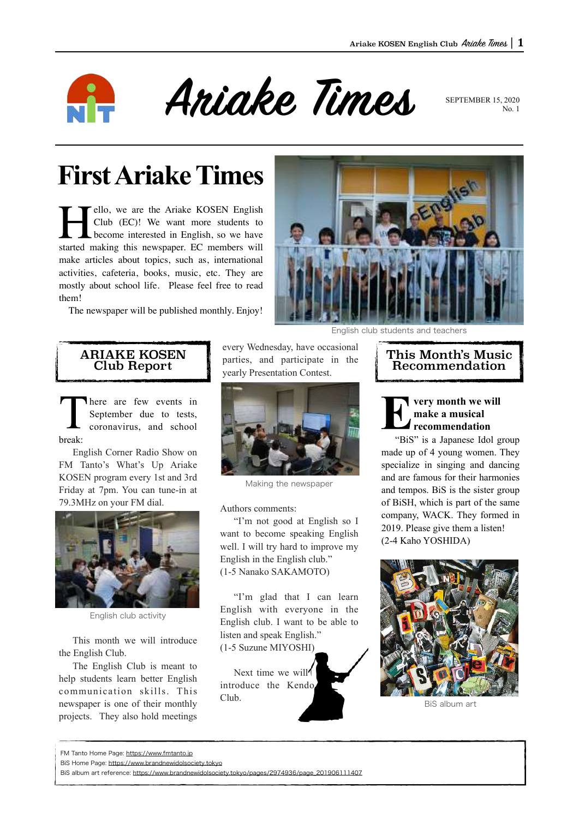

Ariake Times SEPTEMBER 15, 2020

 $N_0$  1

# **First Ariake Times**

Tello, we are the Ariake KOSEN English<br>Club (EC)! We want more students to<br>become interested in English, so we have<br>started making this newspaper. EC members will Club (EC)! We want more students to become interested in English, so we have started making this newspaper. EC members will make articles about topics, such as, international activities, cafeteria, books, music, etc. They are mostly about school life. Please feel free to read them!

The newspaper will be published monthly. Enjoy!



English club students and teachers

## ARIAKE KOSEN Club Report

There are few events in September due to tests, coronavirus, and school break:

English Corner Radio Show on FM Tanto's What's Up Ariake KOSEN program every 1st and 3rd Friday at 7pm. You can tune-in at 79.3MHz on your FM dial.



English club activity

This month we will introduce the English Club.

The English Club is meant to help students learn better English communication skills. This newspaper is one of their monthly projects. They also hold meetings every Wednesday, have occasional parties, and participate in the yearly Presentation Contest.



Making the newspaper

Authors comments:

"I'm not good at English so I want to become speaking English well. I will try hard to improve my English in the English club." (1-5 Nanako SAKAMOTO)

"I'm glad that I can learn English with everyone in the English club. I want to be able to listen and speak English." (1-5 Suzune MIYOSHI)

Next time we will introduce the Kendo Club.

## This Month's Music Recommendation

**Every month we will make a musical recommendation**

"BiS" is a Japanese Idol group made up of 4 young women. They specialize in singing and dancing and are famous for their harmonies and tempos. BiS is the sister group of BiSH, which is part of the same company, WACK. They formed in 2019. Please give them a listen! (2-4 Kaho YOSHIDA)



BiS album art

FM Tanto Home Page: <https://www.fmtanto.jp>

BiS Home Page: <https://www.brandnewidolsociety.tokyo>

BiS album art reference: [https://www.brandnewidolsociety.tokyo/pages/2974936/page\\_201906111407](https://www.brandnewidolsociety.tokyo/pages/2974936/page_201906111407)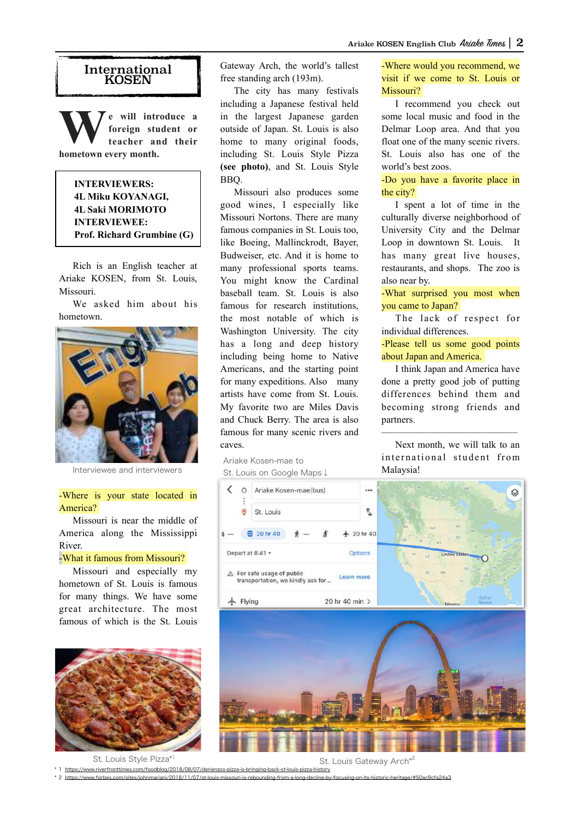#### International **KOSEN**

**W** e will introduce a foreign student or teacher and their **foreign student or teacher and their hometown every month.** 

> **INTERVIEWERS: 4L Miku KOYANAGI, 4L Saki MORIMOTO INTERVIEWEE: Prof. Richard Grumbine (G)**

Rich is an English teacher at Ariake KOSEN, from St. Louis, Missouri.

We asked him about his hometown.



Interviewee and interviewers

#### -Where is your state located in America?

Missouri is near the middle of America along the Mississippi River.

### -What it famous from Missouri?

Missouri and especially my hometown of St. Louis is famous for many things. We have some great architecture. The most famous of which is the St. Louis



St. Louis Style Pizza\*1

\* 1 <https://www.riverfronttimes.com/foodblog/2018/08/07/derienzos-pizza-is-bringing-back-st-louis-pizza-history>

\* 2 <https://www.forbes.com/sites/johnmariani/2018/11/07/st-louis-missouri-is-rebounding-from-a-long-decline-by-focusing-on-its-historic-heritage/#50ac9cfa24a3>

Gateway Arch, the world's tallest free standing arch (193m).

The city has many festivals including a Japanese festival held in the largest Japanese garden outside of Japan. St. Louis is also home to many original foods, including St. Louis Style Pizza **(see photo)**, and St. Louis Style BBQ.

Missouri also produces some good wines, I especially like Missouri Nortons. There are many famous companies in St. Louis too, like Boeing, Mallinckrodt, Bayer, Budweiser, etc. And it is home to many professional sports teams. You might know the Cardinal baseball team. St. Louis is also famous for research institutions the most notable of which is Washington University. The city has a long and deep history including being home to Native Americans, and the starting point for many expeditions. Also many artists have come from St. Louis. My favorite two are Miles Davis and Chuck Berry. The area is also famous for many scenic rivers and caves.

Ariake Kosen-mae to St. Louis on Google Maps↓ -Where would you recommend, we visit if we come to St. Louis or Missouri?

I recommend you check out some local music and food in the Delmar Loop area. And that you float one of the many scenic rivers. St. Louis also has one of the world's best zoos.

-Do you have a favorite place in the city?

I spent a lot of time in the culturally diverse neighborhood of University City and the Delmar Loop in downtown St. Louis. It has many great live houses, restaurants, and shops. The zoo is also near by.

-What surprised you most when you came to Japan?

The lack of respect for individual differences.

-Please tell us some good points about Japan and America.

I think Japan and America have done a pretty good job of putting differences behind them and becoming strong friends and partners.

Next month, we will talk to an international student from Malaysia!

——————————————



St. Louis Gateway Arch<sup>\*2</sup>